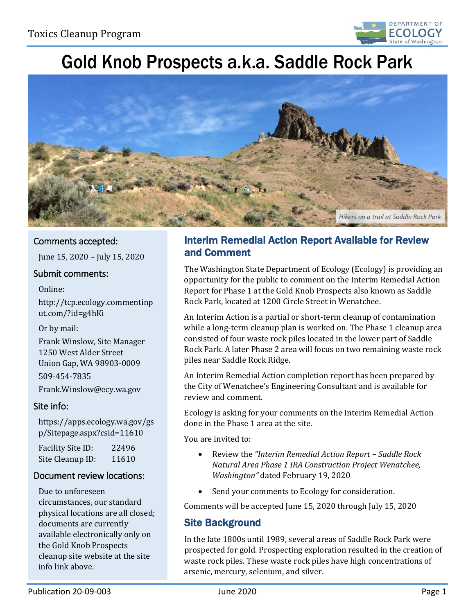

# Gold Knob Prospects a.k.a. Saddle Rock Park



### Comments accepted:

June 15, 2020 – July 15, 2020

#### Submit comments:

#### Online:

[http://tcp.ecology.commentinp](http://tcp.ecology.commentinput.com/?id=g4hKi) [ut.com/?id=g4hKi](http://tcp.ecology.commentinput.com/?id=g4hKi) 

#### Or by mail:

Frank Winslow, Site Manager 1250 West Alder Street Union Gap, WA 98903-0009 509-454-7835

Frank.Winslow@ecy.wa.gov

#### Site info:

[https://apps.ecology.wa.gov/gs](https://apps.ecology.wa.gov/gsp/Sitepage.aspx?csid=11610) [p/Sitepage.aspx?csid=11610](https://apps.ecology.wa.gov/gsp/Sitepage.aspx?csid=11610) 

Facility Site ID: 22496<br>Site Cleanun ID: 11610 Site Cleanup ID:

#### Document review locations:

 physical locations are all closed; Due to unforeseen circumstances, our standard documents are currently available electronically only on the Gold Knob Prospects cleanup site website at the site info link above.

## Interim Remedial Action Report Available for Review and Comment

 Report for Phase 1 at the Gold Knob Prospects also known as Saddle The Washington State Department of Ecology (Ecology) is providing an opportunity for the public to comment on the Interim Remedial Action Rock Park, located at 1200 Circle Street in Wenatchee.

 An Interim Action is a partial or short-term cleanup of contamination while a long-term cleanup plan is worked on. The Phase 1 cleanup area consisted of four waste rock piles located in the lower part of Saddle Rock Park. A later Phase 2 area will focus on two remaining waste rock piles near Saddle Rock Ridge.

 An Interim Remedial Action completion report has been prepared by the City of Wenatchee's Engineering Consultant and is available for review and comment.

Ecology is asking for your comments on the Interim Remedial Action done in the Phase 1 area at the site.

You are invited to:

- Review the *["Interim Remedial Action Report Saddle Rock](http://ecyaptcp/DSARS/docViewer.ashx?did=91899)  [Natural Area Phase 1 IRA Construction Project Wenatchee,](http://ecyaptcp/DSARS/docViewer.ashx?did=91899)  [Washington"](http://ecyaptcp/DSARS/docViewer.ashx?did=91899)* dated February 19, 2020
- Send your comments to Ecology for consideration.

Comments will be accepted June 15, 2020 through July 15, 2020

### Site Background

 arsenic, mercury, selenium, and silver. In the late 1800s until 1989, several areas of Saddle Rock Park were prospected for gold. Prospecting exploration resulted in the creation of waste rock piles. These waste rock piles have high concentrations of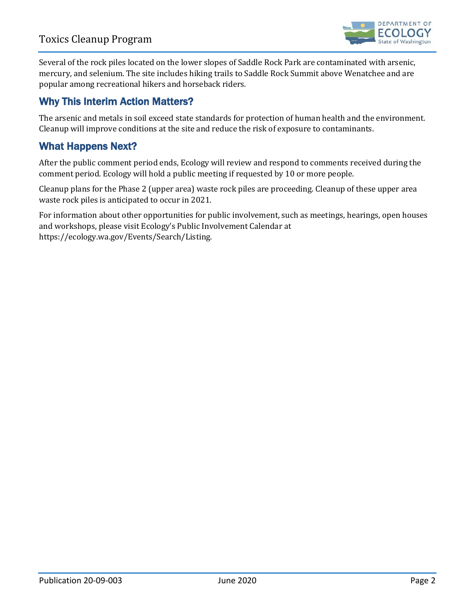

 Several of the rock piles located on the lower slopes of Saddle Rock Park are contaminated with arsenic, mercury, and selenium. The site includes hiking trails to Saddle Rock Summit above Wenatchee and are popular among recreational hikers and horseback riders.

## Why This Interim Action Matters?

 The arsenic and metals in soil exceed state standards for protection of human health and the environment. Cleanup will improve conditions at the site and reduce the risk of exposure to contaminants.

## What Happens Next?

After the public comment period ends, Ecology will review and respond to comments received during the comment period. Ecology will hold a public meeting if requested by 10 or more people.

Cleanup plans for the Phase 2 (upper area) waste rock piles are proceeding. Cleanup of these upper area waste rock piles is anticipated to occur in 2021.

For information about other opportunities for public involvement, such as meetings, hearings, open houses and workshops, please visit Ecology's Public Involvement Calendar at [https://ecology.wa.gov/Events/Search/Listing.](https://ecology.wa.gov/Events/Search/Listing)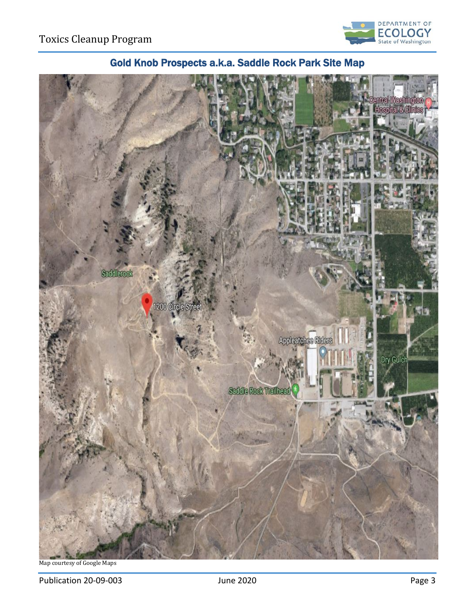



# Gold Knob Prospects a.k.a. Saddle Rock Park Site Map

Map courtesy of Google Maps

Publication 20-09-003 **Publication 20-09-003** June 2020 **Page 3**